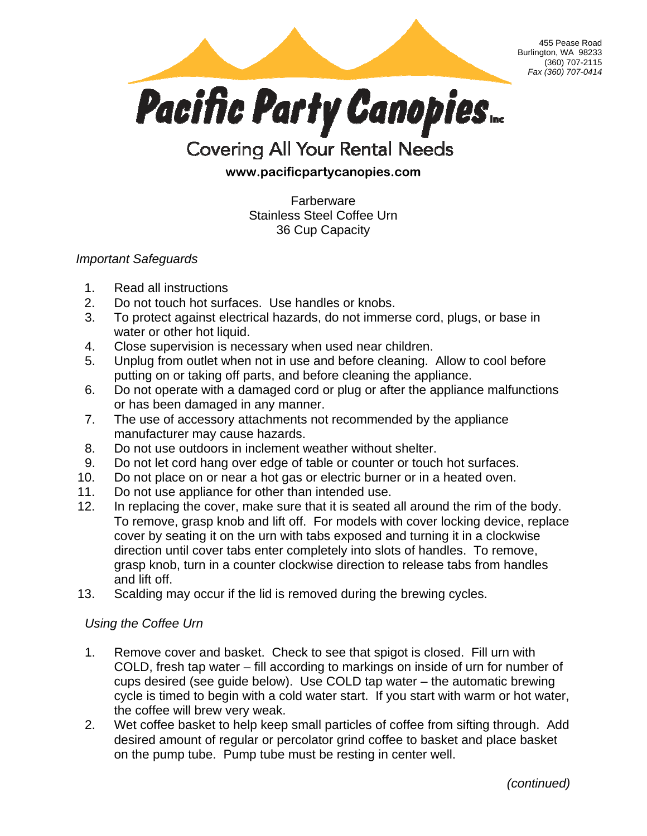

## **Covering All Your Rental Needs**

## **www.pacificpartycanopies.com**

**Farberware** Stainless Steel Coffee Urn 36 Cup Capacity

*Important Safeguards* 

- 1. Read all instructions
- 2. Do not touch hot surfaces. Use handles or knobs.
- 3. To protect against electrical hazards, do not immerse cord, plugs, or base in water or other hot liquid.
- 4. Close supervision is necessary when used near children.
- 5. Unplug from outlet when not in use and before cleaning. Allow to cool before putting on or taking off parts, and before cleaning the appliance.
- 6. Do not operate with a damaged cord or plug or after the appliance malfunctions or has been damaged in any manner.
- 7. The use of accessory attachments not recommended by the appliance manufacturer may cause hazards.
- 8. Do not use outdoors in inclement weather without shelter.
- 9. Do not let cord hang over edge of table or counter or touch hot surfaces.
- 10. Do not place on or near a hot gas or electric burner or in a heated oven.
- 11. Do not use appliance for other than intended use.
- 12. In replacing the cover, make sure that it is seated all around the rim of the body. To remove, grasp knob and lift off. For models with cover locking device, replace cover by seating it on the urn with tabs exposed and turning it in a clockwise direction until cover tabs enter completely into slots of handles. To remove, grasp knob, turn in a counter clockwise direction to release tabs from handles and lift off.
- 13. Scalding may occur if the lid is removed during the brewing cycles.

## *Using the Coffee Urn*

- 1. Remove cover and basket. Check to see that spigot is closed. Fill urn with COLD, fresh tap water – fill according to markings on inside of urn for number of cups desired (see guide below). Use COLD tap water – the automatic brewing cycle is timed to begin with a cold water start. If you start with warm or hot water, the coffee will brew very weak.
- 2. Wet coffee basket to help keep small particles of coffee from sifting through. Add desired amount of regular or percolator grind coffee to basket and place basket on the pump tube. Pump tube must be resting in center well.

*(continued)* 

455 Pease Road

(360) 707-2115 *Fax (360) 707-0414*